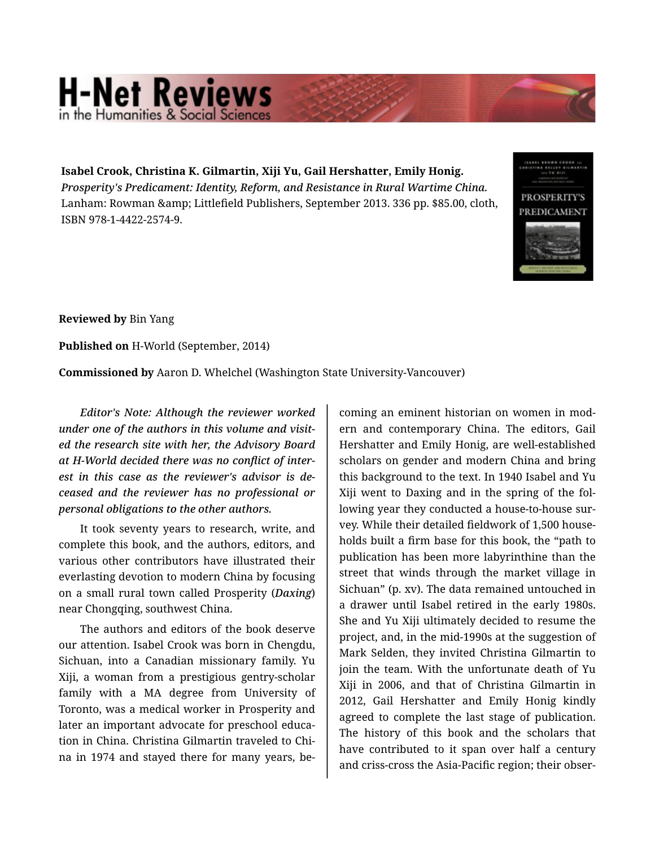## **H-Net Reviews** he Humanities & Social S

**Isabel Crook, Christina K. Gilmartin, Xiji Yu, Gail Hershatter, Emily Honig.**  *Prosperity's Predicament: Identity, Reform, and Resistance in Rural Wartime China.*  Lanham: Rowman & amp; Littlefield Publishers, September 2013. 336 pp. \$85.00, cloth, ISBN 978-1-4422-2574-9.



**Reviewed by** Bin Yang

**Published on** H-World (September, 2014)

**Commissioned by** Aaron D. Whelchel (Washington State University-Vancouver)

*Editor's Note: Although the reviewer worked under one of the authors in this volume and visit‐ ed the research site with her, the Advisory Board at H-World decided there was no conflict of inter‐ est in this case as the reviewer's advisor is de‐ ceased and the reviewer has no professional or personal obligations to the other authors.*

It took seventy years to research, write, and complete this book, and the authors, editors, and various other contributors have illustrated their everlasting devotion to modern China by focusing on a small rural town called Prosperity (*Daxing*) near Chongqing, southwest China.

The authors and editors of the book deserve our attention. Isabel Crook was born in Chengdu, Sichuan, into a Canadian missionary family. Yu Xiji, a woman from a prestigious gentry-scholar family with a MA degree from University of Toronto, was a medical worker in Prosperity and later an important advocate for preschool educa‐ tion in China. Christina Gilmartin traveled to Chi‐ na in 1974 and stayed there for many years, be‐

coming an eminent historian on women in mod‐ ern and contemporary China. The editors, Gail Hershatter and Emily Honig, are well-established scholars on gender and modern China and bring this background to the text. In 1940 Isabel and Yu Xiji went to Daxing and in the spring of the fol‐ lowing year they conducted a house-to-house sur‐ vey. While their detailed fieldwork of 1,500 house‐ holds built a firm base for this book, the "path to publication has been more labyrinthine than the street that winds through the market village in Sichuan" (p. xv). The data remained untouched in a drawer until Isabel retired in the early 1980s. She and Yu Xiji ultimately decided to resume the project, and, in the mid-1990s at the suggestion of Mark Selden, they invited Christina Gilmartin to join the team. With the unfortunate death of Yu Xiji in 2006, and that of Christina Gilmartin in 2012, Gail Hershatter and Emily Honig kindly agreed to complete the last stage of publication. The history of this book and the scholars that have contributed to it span over half a century and criss-cross the Asia-Pacific region; their obser‐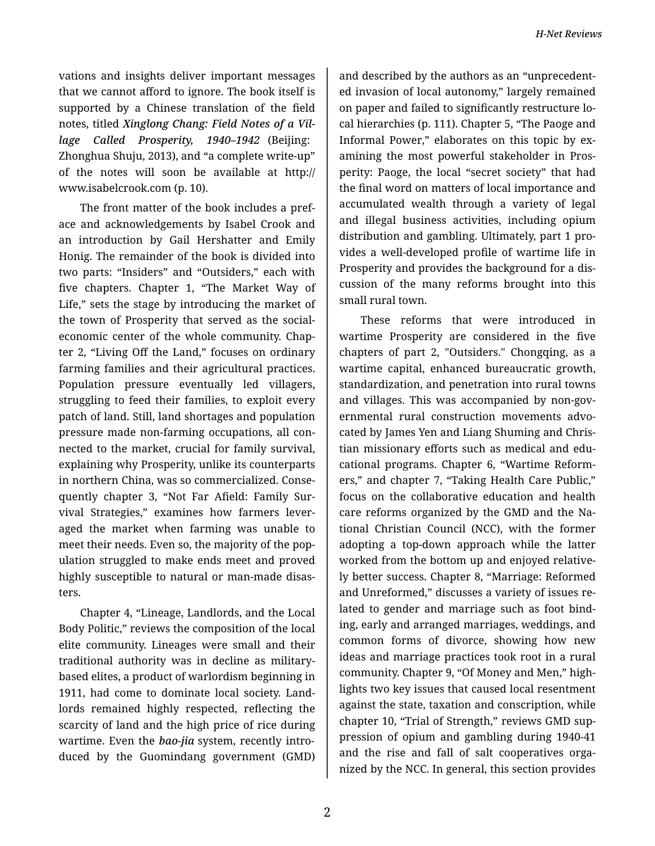vations and insights deliver important messages that we cannot afford to ignore. The book itself is supported by a Chinese translation of the field notes, titled *Xinglong Chang: Field Notes of a Vil‐ lage Called Prosperity, 1940–1942* (Beijing: Zhonghua Shuju, 2013), and "a complete write-up" of the notes will soon be available at http:// www.isabelcrook.com (p. 10).

The front matter of the book includes a pref‐ ace and acknowledgements by Isabel Crook and an introduction by Gail Hershatter and Emily Honig. The remainder of the book is divided into two parts: "Insiders" and "Outsiders," each with five chapters. Chapter 1, "The Market Way of Life," sets the stage by introducing the market of the town of Prosperity that served as the socialeconomic center of the whole community. Chap‐ ter 2, "Living Off the Land," focuses on ordinary farming families and their agricultural practices. Population pressure eventually led villagers, struggling to feed their families, to exploit every patch of land. Still, land shortages and population pressure made non-farming occupations, all con‐ nected to the market, crucial for family survival, explaining why Prosperity, unlike its counterparts in northern China, was so commercialized. Conse‐ quently chapter 3, "Not Far Afield: Family Sur‐ vival Strategies," examines how farmers lever‐ aged the market when farming was unable to meet their needs. Even so, the majority of the pop‐ ulation struggled to make ends meet and proved highly susceptible to natural or man-made disas‐ ters.

Chapter 4, "Lineage, Landlords, and the Local Body Politic," reviews the composition of the local elite community. Lineages were small and their traditional authority was in decline as militarybased elites, a product of warlordism beginning in 1911, had come to dominate local society. Land‐ lords remained highly respected, reflecting the scarcity of land and the high price of rice during wartime. Even the *bao*-*jia* system, recently intro‐ duced by the Guomindang government (GMD)

and described by the authors as an "unprecedent‐ ed invasion of local autonomy," largely remained on paper and failed to significantly restructure lo‐ cal hierarchies (p. 111). Chapter 5, "The Paoge and Informal Power," elaborates on this topic by ex‐ amining the most powerful stakeholder in Pros‐ perity: Paoge, the local "secret society" that had the final word on matters of local importance and accumulated wealth through a variety of legal and illegal business activities, including opium distribution and gambling. Ultimately, part 1 pro‐ vides a well-developed profile of wartime life in Prosperity and provides the background for a dis‐ cussion of the many reforms brought into this small rural town.

These reforms that were introduced in wartime Prosperity are considered in the five chapters of part 2, "Outsiders." Chongqing, as a wartime capital, enhanced bureaucratic growth, standardization, and penetration into rural towns and villages. This was accompanied by non-gov‐ ernmental rural construction movements advo‐ cated by James Yen and Liang Shuming and Chris‐ tian missionary efforts such as medical and edu‐ cational programs. Chapter 6, "Wartime Reform‐ ers," and chapter 7, "Taking Health Care Public," focus on the collaborative education and health care reforms organized by the GMD and the Na‐ tional Christian Council (NCC), with the former adopting a top-down approach while the latter worked from the bottom up and enjoyed relative‐ ly better success. Chapter 8, "Marriage: Reformed and Unreformed," discusses a variety of issues re‐ lated to gender and marriage such as foot bind‐ ing, early and arranged marriages, weddings, and common forms of divorce, showing how new ideas and marriage practices took root in a rural community. Chapter 9, "Of Money and Men," high‐ lights two key issues that caused local resentment against the state, taxation and conscription, while chapter 10, "Trial of Strength," reviews GMD sup‐ pression of opium and gambling during 1940-41 and the rise and fall of salt cooperatives orga‐ nized by the NCC. In general, this section provides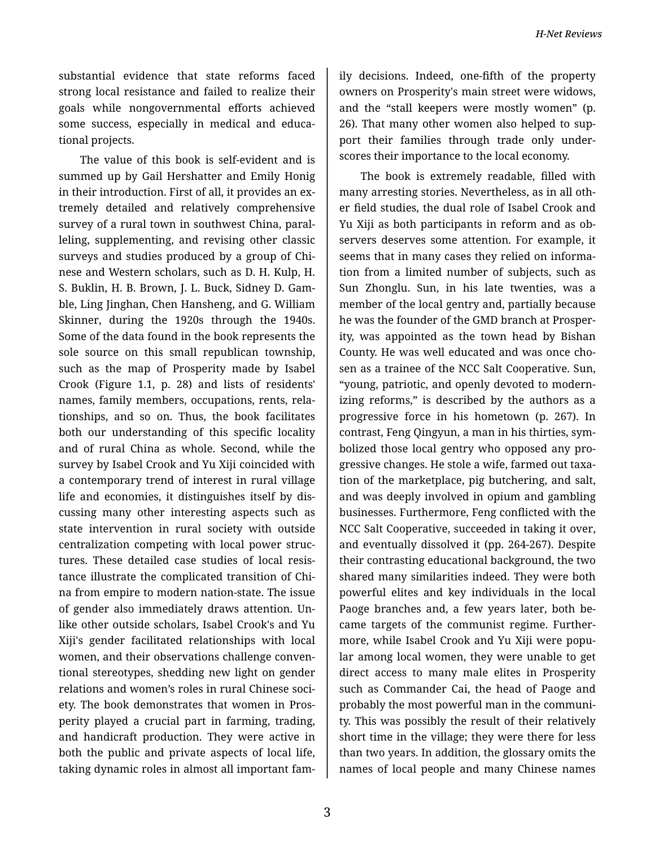substantial evidence that state reforms faced strong local resistance and failed to realize their goals while nongovernmental efforts achieved some success, especially in medical and educational projects.

The value of this book is self-evident and is summed up by Gail Hershatter and Emily Honig in their introduction. First of all, it provides an ex‐ tremely detailed and relatively comprehensive survey of a rural town in southwest China, paral‐ leling, supplementing, and revising other classic surveys and studies produced by a group of Chi‐ nese and Western scholars, such as D. H. Kulp, H. S. Buklin, H. B. Brown, J. L. Buck, Sidney D. Gam‐ ble, Ling Jinghan, Chen Hansheng, and G. William Skinner, during the 1920s through the 1940s. Some of the data found in the book represents the sole source on this small republican township, such as the map of Prosperity made by Isabel Crook (Figure 1.1, p. 28) and lists of residents' names, family members, occupations, rents, rela‐ tionships, and so on. Thus, the book facilitates both our understanding of this specific locality and of rural China as whole. Second, while the survey by Isabel Crook and Yu Xiji coincided with a contemporary trend of interest in rural village life and economies, it distinguishes itself by dis‐ cussing many other interesting aspects such as state intervention in rural society with outside centralization competing with local power struc‐ tures. These detailed case studies of local resis‐ tance illustrate the complicated transition of Chi‐ na from empire to modern nation-state. The issue of gender also immediately draws attention. Un‐ like other outside scholars, Isabel Crook's and Yu Xiji's gender facilitated relationships with local women, and their observations challenge conven‐ tional stereotypes, shedding new light on gender relations and women's roles in rural Chinese soci‐ ety. The book demonstrates that women in Pros‐ perity played a crucial part in farming, trading, and handicraft production. They were active in both the public and private aspects of local life, taking dynamic roles in almost all important fam‐

3

ily decisions. Indeed, one-fifth of the property owners on Prosperity's main street were widows, and the "stall keepers were mostly women" (p. 26). That many other women also helped to sup‐ port their families through trade only under‐ scores their importance to the local economy.

The book is extremely readable, filled with many arresting stories. Nevertheless, as in all oth‐ er field studies, the dual role of Isabel Crook and Yu Xiji as both participants in reform and as ob‐ servers deserves some attention. For example, it seems that in many cases they relied on informa‐ tion from a limited number of subjects, such as Sun Zhonglu. Sun, in his late twenties, was a member of the local gentry and, partially because he was the founder of the GMD branch at Prosper‐ ity, was appointed as the town head by Bishan County. He was well educated and was once cho‐ sen as a trainee of the NCC Salt Cooperative. Sun, "young, patriotic, and openly devoted to modern‐ izing reforms," is described by the authors as a progressive force in his hometown (p. 267). In contrast, Feng Qingyun, a man in his thirties, sym‐ bolized those local gentry who opposed any pro‐ gressive changes. He stole a wife, farmed out taxa‐ tion of the marketplace, pig butchering, and salt, and was deeply involved in opium and gambling businesses. Furthermore, Feng conflicted with the NCC Salt Cooperative, succeeded in taking it over, and eventually dissolved it (pp. 264-267). Despite their contrasting educational background, the two shared many similarities indeed. They were both powerful elites and key individuals in the local Paoge branches and, a few years later, both be‐ came targets of the communist regime. Further‐ more, while Isabel Crook and Yu Xiji were popu‐ lar among local women, they were unable to get direct access to many male elites in Prosperity such as Commander Cai, the head of Paoge and probably the most powerful man in the communi‐ ty. This was possibly the result of their relatively short time in the village; they were there for less than two years. In addition, the glossary omits the names of local people and many Chinese names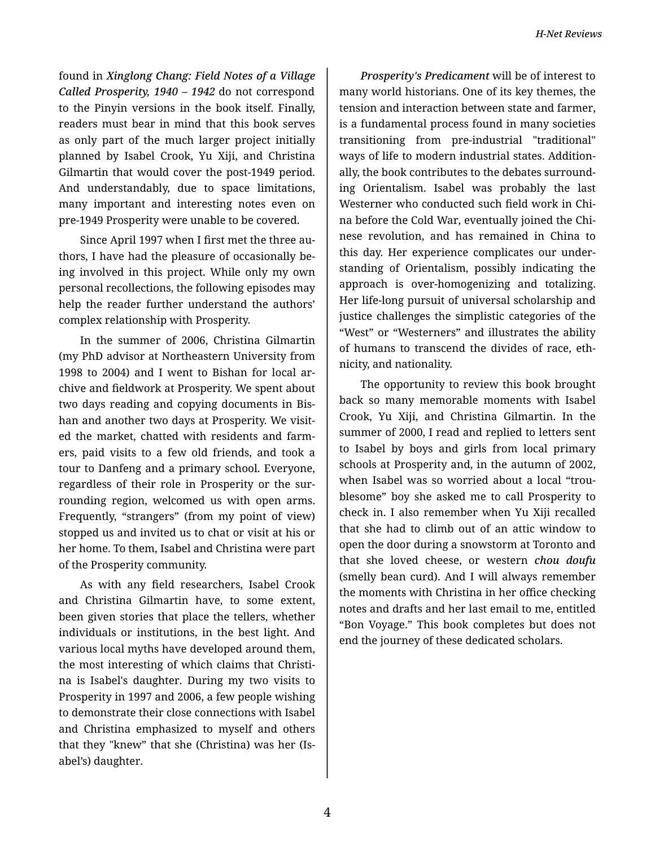found in *Xinglong Chang: Field Notes of a Village Called Prosperity, 1940 – 1942* do not correspond to the Pinyin versions in the book itself. Finally, readers must bear in mind that this book serves as only part of the much larger project initially planned by Isabel Crook, Yu Xiji, and Christina Gilmartin that would cover the post-1949 period. And understandably, due to space limitations, many important and interesting notes even on pre-1949 Prosperity were unable to be covered.

Since April 1997 when I first met the three au‐ thors, I have had the pleasure of occasionally be‐ ing involved in this project. While only my own personal recollections, the following episodes may help the reader further understand the authors' complex relationship with Prosperity.

In the summer of 2006, Christina Gilmartin (my PhD advisor at Northeastern University from 1998 to 2004) and I went to Bishan for local ar‐ chive and fieldwork at Prosperity. We spent about two days reading and copying documents in Bis‐ han and another two days at Prosperity. We visit‐ ed the market, chatted with residents and farm‐ ers, paid visits to a few old friends, and took a tour to Danfeng and a primary school. Everyone, regardless of their role in Prosperity or the sur‐ rounding region, welcomed us with open arms. Frequently, "strangers" (from my point of view) stopped us and invited us to chat or visit at his or her home. To them, Isabel and Christina were part of the Prosperity community.

As with any field researchers, Isabel Crook and Christina Gilmartin have, to some extent, been given stories that place the tellers, whether individuals or institutions, in the best light. And various local myths have developed around them, the most interesting of which claims that Christi‐ na is Isabel's daughter. During my two visits to Prosperity in 1997 and 2006, a few people wishing to demonstrate their close connections with Isabel and Christina emphasized to myself and others that they "knew" that she (Christina) was her (Is‐ abel's) daughter.

*Prosperity's Predicament* will be of interest to many world historians. One of its key themes, the tension and interaction between state and farmer, is a fundamental process found in many societies transitioning from pre-industrial "traditional" ways of life to modern industrial states. Addition‐ ally, the book contributes to the debates surround‐ ing Orientalism. Isabel was probably the last Westerner who conducted such field work in Chi‐ na before the Cold War, eventually joined the Chi‐ nese revolution, and has remained in China to this day. Her experience complicates our under‐ standing of Orientalism, possibly indicating the approach is over-homogenizing and totalizing. Her life-long pursuit of universal scholarship and justice challenges the simplistic categories of the "West" or "Westerners" and illustrates the ability of humans to transcend the divides of race, eth‐ nicity, and nationality.

The opportunity to review this book brought back so many memorable moments with Isabel Crook, Yu Xiji, and Christina Gilmartin. In the summer of 2000, I read and replied to letters sent to Isabel by boys and girls from local primary schools at Prosperity and, in the autumn of 2002, when Isabel was so worried about a local "trou‐ blesome" boy she asked me to call Prosperity to check in. I also remember when Yu Xiji recalled that she had to climb out of an attic window to open the door during a snowstorm at Toronto and that she loved cheese, or western *chou doufu* (smelly bean curd). And I will always remember the moments with Christina in her office checking notes and drafts and her last email to me, entitled "Bon Voyage." This book completes but does not end the journey of these dedicated scholars.